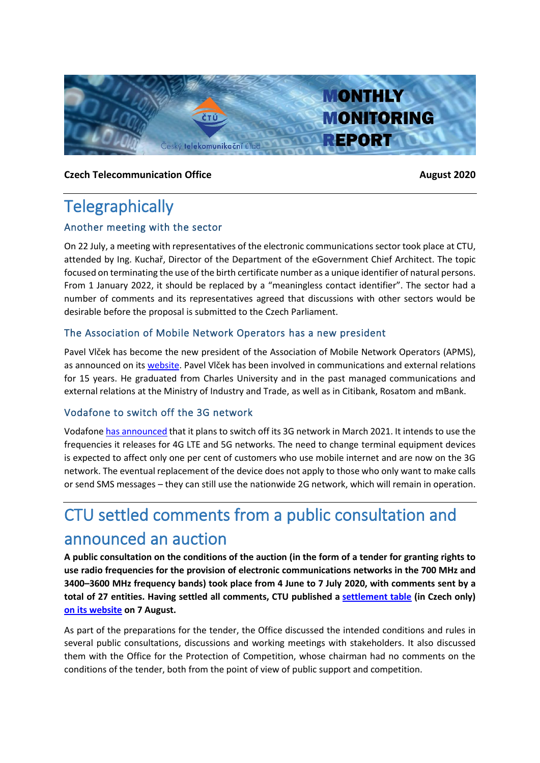

#### **Czech Telecommunication Office August** 2020

# **Telegraphically**

### Another meeting with the sector

On 22 July, a meeting with representatives of the electronic communications sector took place at CTU, attended by Ing. Kuchař, Director of the Department of the eGovernment Chief Architect. The topic focused on terminating the use of the birth certificate number as a unique identifier of natural persons. From 1 January 2022, it should be replaced by a "meaningless contact identifier". The sector had a number of comments and its representatives agreed that discussions with other sectors would be desirable before the proposal is submitted to the Czech Parliament.

### The Association of Mobile Network Operators has a new president

Pavel Vlček has become the new president of the Association of Mobile Network Operators (APMS), as announced on it[s website.](http://www.apms.cz/aktuality-a-zajimavosti/novym-prezidentem-asociace-provozovatelu-mobilnich-siti-je-pavel-vlcek) Pavel Vlček has been involved in communications and external relations for 15 years. He graduated from Charles University and in the past managed communications and external relations at the Ministry of Industry and Trade, as well as in Citibank, Rosatom and mBank.

### Vodafone to switch off the 3G network

Vodafon[e has announced](https://www.vodafone.cz/o-vodafonu/o-spolecnosti/pro-media/tiskove-zpravy/detail/3g-uvolni-misto-siti-pate-generace-zakaznici-vodaf/) that it plans to switch off its 3G network in March 2021. It intends to use the frequencies it releases for 4G LTE and 5G networks. The need to change terminal equipment devices is expected to affect only one per cent of customers who use mobile internet and are now on the 3G network. The eventual replacement of the device does not apply to those who only want to make calls or send SMS messages – they can still use the nationwide 2G network, which will remain in operation.

# CTU settled comments from a public consultation and announced an auction

**A public consultation on the conditions of the auction (in the form of a tender for granting rights to use radio frequencies for the provision of electronic communications networks in the 700 MHz and 3400–3600 MHz frequency bands) took place from 4 June to 7 July 2020, with comments sent by a total of 27 entities. Having settled all comments, CTU published a [settlement table](https://www.ctu.cz/sites/default/files/obsah/ctu/vyzva-k-uplatneni-pripominek-k-navrhu-textu-vyhlaseni-vyberoveho-rizeni-za-ucelem-udeleni-prav-k/obrazky/20200807-tabulkavyporadani.pdf) (in Czech only) [on its website](https://www.ctu.eu/call-comments-draft-invitation-tender-granting-rights-use-radio-frequencies-provide-electronic-0) on 7 August.**

As part of the preparations for the tender, the Office discussed the intended conditions and rules in several public consultations, discussions and working meetings with stakeholders. It also discussed them with the Office for the Protection of Competition, whose chairman had no comments on the conditions of the tender, both from the point of view of public support and competition.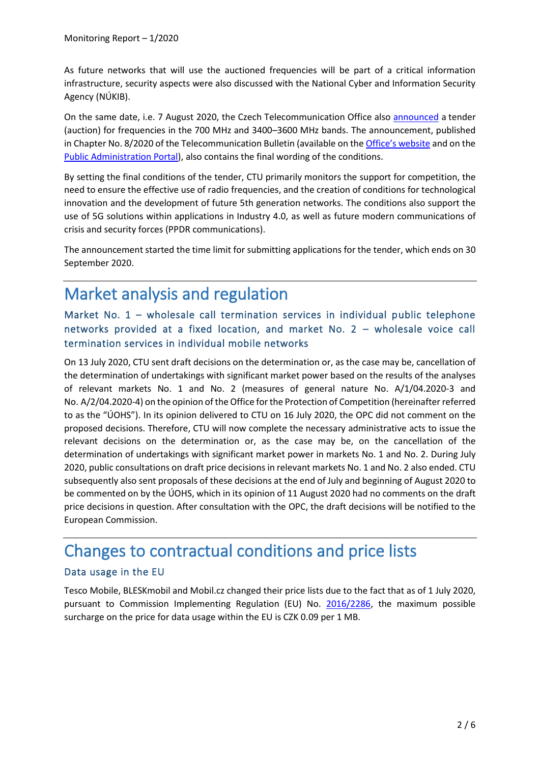As future networks that will use the auctioned frequencies will be part of a critical information infrastructure, security aspects were also discussed with the National Cyber and Information Security Agency (NÚKIB).

On the same date, i.e. 7 August 2020, the Czech Telecommunication Office also [announced](https://www.ctu.eu/announcement-invitation-tender-granting-rights-use-radio-frequencies-provide-electronic) a tender (auction) for frequencies in the 700 MHz and 3400–3600 MHz bands. The announcement, published in Chapter No. 8/2020 of the Telecommunication Bulletin (available on the Office['s website](https://www.ctu.cz/sites/default/files/obsah/ctu/telekomunikacni-vestnik-castka-08/2020/obrazky/tv-2020-08.pdf) and on the [Public Administration Portal\)](https://www.portal.gov.cz/obcan/vestniky/a9qaats/810587795.pdf), also contains the final wording of the conditions.

By setting the final conditions of the tender, CTU primarily monitors the support for competition, the need to ensure the effective use of radio frequencies, and the creation of conditions for technological innovation and the development of future 5th generation networks. The conditions also support the use of 5G solutions within applications in Industry 4.0, as well as future modern communications of crisis and security forces (PPDR communications).

The announcement started the time limit for submitting applications for the tender, which ends on 30 September 2020.

# Market analysis and regulation

Market No. 1 – wholesale call termination services in individual public telephone networks provided at a fixed location, and market No. 2 – wholesale voice call termination services in individual mobile networks

On 13 July 2020, CTU sent draft decisions on the determination or, as the case may be, cancellation of the determination of undertakings with significant market power based on the results of the analyses of relevant markets No. 1 and No. 2 (measures of general nature No. A/1/04.2020-3 and No. A/2/04.2020-4) on the opinion of the Office for the Protection of Competition (hereinafter referred to as the "ÚOHS"). In its opinion delivered to CTU on 16 July 2020, the OPC did not comment on the proposed decisions. Therefore, CTU will now complete the necessary administrative acts to issue the relevant decisions on the determination or, as the case may be, on the cancellation of the determination of undertakings with significant market power in markets No. 1 and No. 2. During July 2020, public consultations on draft price decisions in relevant markets No. 1 and No. 2 also ended. CTU subsequently also sent proposals of these decisions at the end of July and beginning of August 2020 to be commented on by the ÚOHS, which in its opinion of 11 August 2020 had no comments on the draft price decisions in question. After consultation with the OPC, the draft decisions will be notified to the European Commission.

# Changes to contractual conditions and price lists

## Data usage in the EU

Tesco Mobile, BLESKmobil and Mobil.cz changed their price lists due to the fact that as of 1 July 2020, pursuant to Commission Implementing Regulation (EU) No. [2016/2286,](https://eur-lex.europa.eu/legal-content/CS/TXT/PDF/?uri=CELEX:32016R2286&from=CS) the maximum possible surcharge on the price for data usage within the EU is CZK 0.09 per 1 MB.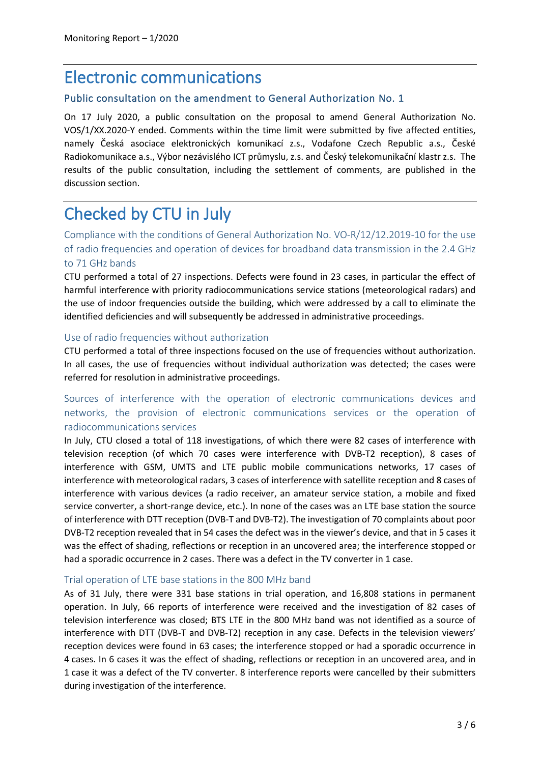## Electronic communications

#### Public consultation on the amendment to General Authorization No. 1

On 17 July 2020, a public consultation on the proposal to amend General Authorization No. VOS/1/XX.2020-Y ended. Comments within the time limit were submitted by five affected entities, namely Česká asociace elektronických komunikací z.s., Vodafone Czech Republic a.s., České Radiokomunikace a.s., Výbor nezávislého ICT průmyslu, z.s. and Český telekomunikační klastr z.s. The results of the public consultation, including the settlement of comments, are published in the discussion section.

# Checked by CTU in July

Compliance with the conditions of General Authorization No. VO-R/12/12.2019-10 for the use of radio frequencies and operation of devices for broadband data transmission in the 2.4 GHz to 71 GHz bands

CTU performed a total of 27 inspections. Defects were found in 23 cases, in particular the effect of harmful interference with priority radiocommunications service stations (meteorological radars) and the use of indoor frequencies outside the building, which were addressed by a call to eliminate the identified deficiencies and will subsequently be addressed in administrative proceedings.

#### Use of radio frequencies without authorization

CTU performed a total of three inspections focused on the use of frequencies without authorization. In all cases, the use of frequencies without individual authorization was detected; the cases were referred for resolution in administrative proceedings.

## Sources of interference with the operation of electronic communications devices and networks, the provision of electronic communications services or the operation of radiocommunications services

In July, CTU closed a total of 118 investigations, of which there were 82 cases of interference with television reception (of which 70 cases were interference with DVB-T2 reception), 8 cases of interference with GSM, UMTS and LTE public mobile communications networks, 17 cases of interference with meteorological radars, 3 cases of interference with satellite reception and 8 cases of interference with various devices (a radio receiver, an amateur service station, a mobile and fixed service converter, a short-range device, etc.). In none of the cases was an LTE base station the source of interference with DTT reception (DVB-T and DVB-T2). The investigation of 70 complaints about poor DVB-T2 reception revealed that in 54 cases the defect was in the viewer's device, and that in 5 cases it was the effect of shading, reflections or reception in an uncovered area; the interference stopped or had a sporadic occurrence in 2 cases. There was a defect in the TV converter in 1 case.

#### Trial operation of LTE base stations in the 800 MHz band

As of 31 July, there were 331 base stations in trial operation, and 16,808 stations in permanent operation. In July, 66 reports of interference were received and the investigation of 82 cases of television interference was closed; BTS LTE in the 800 MHz band was not identified as a source of interference with DTT (DVB-T and DVB-T2) reception in any case. Defects in the television viewers' reception devices were found in 63 cases; the interference stopped or had a sporadic occurrence in 4 cases. In 6 cases it was the effect of shading, reflections or reception in an uncovered area, and in 1 case it was a defect of the TV converter. 8 interference reports were cancelled by their submitters during investigation of the interference.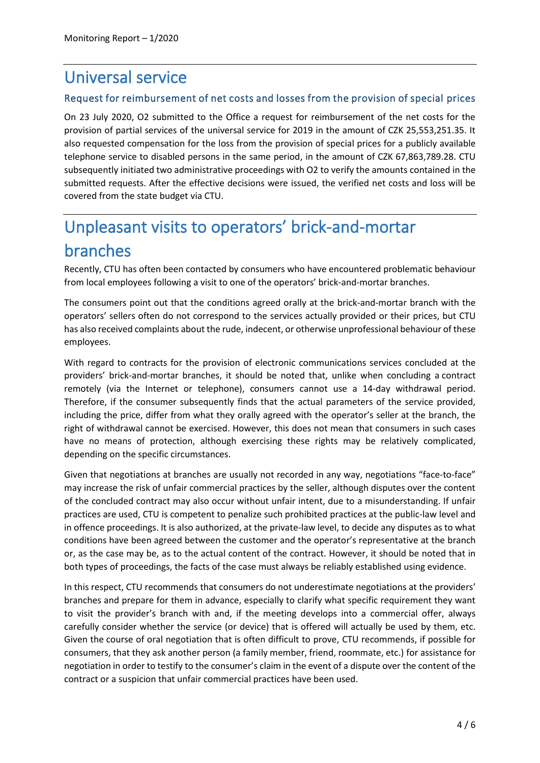# Universal service

### Request for reimbursement of net costs and losses from the provision of special prices

On 23 July 2020, O2 submitted to the Office a request for reimbursement of the net costs for the provision of partial services of the universal service for 2019 in the amount of CZK 25,553,251.35. It also requested compensation for the loss from the provision of special prices for a publicly available telephone service to disabled persons in the same period, in the amount of CZK 67,863,789.28. CTU subsequently initiated two administrative proceedings with O2 to verify the amounts contained in the submitted requests. After the effective decisions were issued, the verified net costs and loss will be covered from the state budget via CTU.

# Unpleasant visits to operators' brick-and-mortar branches

Recently, CTU has often been contacted by consumers who have encountered problematic behaviour from local employees following a visit to one of the operators' brick-and-mortar branches.

The consumers point out that the conditions agreed orally at the brick-and-mortar branch with the operators' sellers often do not correspond to the services actually provided or their prices, but CTU has also received complaints about the rude, indecent, or otherwise unprofessional behaviour of these employees.

With regard to contracts for the provision of electronic communications services concluded at the providers' brick-and-mortar branches, it should be noted that, unlike when concluding a contract remotely (via the Internet or telephone), consumers cannot use a 14-day withdrawal period. Therefore, if the consumer subsequently finds that the actual parameters of the service provided, including the price, differ from what they orally agreed with the operator's seller at the branch, the right of withdrawal cannot be exercised. However, this does not mean that consumers in such cases have no means of protection, although exercising these rights may be relatively complicated, depending on the specific circumstances.

Given that negotiations at branches are usually not recorded in any way, negotiations "face-to-face" may increase the risk of unfair commercial practices by the seller, although disputes over the content of the concluded contract may also occur without unfair intent, due to a misunderstanding. If unfair practices are used, CTU is competent to penalize such prohibited practices at the public-law level and in offence proceedings. It is also authorized, at the private-law level, to decide any disputes as to what conditions have been agreed between the customer and the operator's representative at the branch or, as the case may be, as to the actual content of the contract. However, it should be noted that in both types of proceedings, the facts of the case must always be reliably established using evidence.

In this respect, CTU recommends that consumers do not underestimate negotiations at the providers' branches and prepare for them in advance, especially to clarify what specific requirement they want to visit the provider's branch with and, if the meeting develops into a commercial offer, always carefully consider whether the service (or device) that is offered will actually be used by them, etc. Given the course of oral negotiation that is often difficult to prove, CTU recommends, if possible for consumers, that they ask another person (a family member, friend, roommate, etc.) for assistance for negotiation in order to testify to the consumer's claim in the event of a dispute over the content of the contract or a suspicion that unfair commercial practices have been used.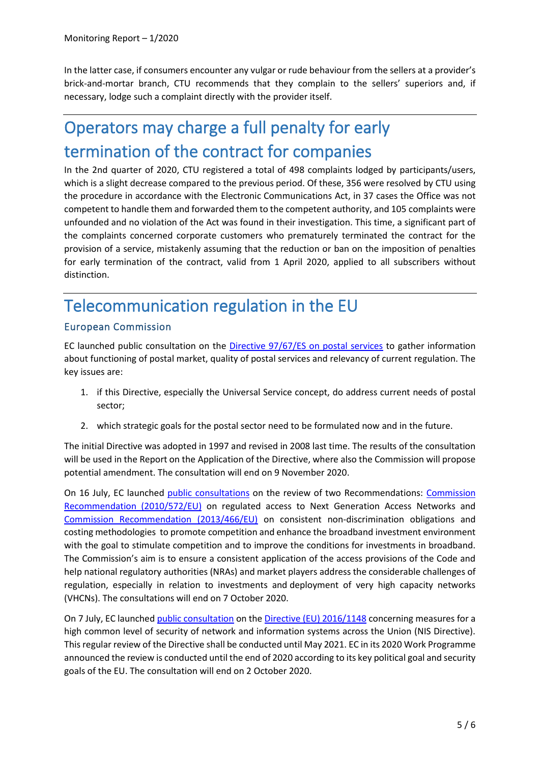In the latter case, if consumers encounter any vulgar or rude behaviour from the sellers at a provider's brick-and-mortar branch, CTU recommends that they complain to the sellers' superiors and, if necessary, lodge such a complaint directly with the provider itself.

# Operators may charge a full penalty for early termination of the contract for companies

In the 2nd quarter of 2020, CTU registered a total of 498 complaints lodged by participants/users, which is a slight decrease compared to the previous period. Of these, 356 were resolved by CTU using the procedure in accordance with the Electronic Communications Act, in 37 cases the Office was not competent to handle them and forwarded them to the competent authority, and 105 complaints were unfounded and no violation of the Act was found in their investigation. This time, a significant part of the complaints concerned corporate customers who prematurely terminated the contract for the provision of a service, mistakenly assuming that the reduction or ban on the imposition of penalties for early termination of the contract, valid from 1 April 2020, applied to all subscribers without distinction.

# Telecommunication regulation in the EU

### European Commission

EC launched public consultation on the [Directive 97/67/ES on postal services](https://eur-lex.europa.eu/legal-content/EN/TXT/PDF/?uri=CELEX:31997L0067&qid=1599550609494&from=CS) to gather information about functioning of postal market, quality of postal services and relevancy of current regulation. The key issues are:

- 1. if this Directive, especially the Universal Service concept, do address current needs of postal sector;
- 2. which strategic goals for the postal sector need to be formulated now and in the future.

The initial Directive was adopted in 1997 and revised in 2008 last time. The results of the consultation will be used in the Report on the Application of the Directive, where also the Commission will propose potential amendment. The consultation will end on 9 November 2020.

On 16 July, EC launched [public consultations](https://ec.europa.eu/digital-single-market/en/news/targeted-consultation-revision-commissions-access-recommendations) on the review of two Recommendations: [Commission](https://eur-lex.europa.eu/legal-content/EN/TXT/PDF/?uri=CELEX:32010H0572&qid=1599554393677&from=CS)  [Recommendation \(2010/572/EU\)](https://eur-lex.europa.eu/legal-content/EN/TXT/PDF/?uri=CELEX:32010H0572&qid=1599554393677&from=CS) on regulated access to Next Generation Access Networks and [Commission Recommendation \(2013/466/EU\)](https://eur-lex.europa.eu/legal-content/EN/TXT/PDF/?uri=CELEX:32013H0466&from=EN) on consistent non-discrimination obligations and costing methodologies to promote competition and enhance the broadband investment environment with the goal to stimulate competition and to improve the conditions for investments in broadband. The Commission's aim is to ensure a consistent application of the access provisions of the Code and help national regulatory authorities (NRAs) and market players address the considerable challenges of regulation, especially in relation to investments and deployment of very high capacity networks (VHCNs). The consultations will end on 7 October 2020.

On 7 July, EC launched [public consultation](https://ec.europa.eu/digital-single-market/en/news/eu-cybersecurity-commission-launches-public-consultation-nis-directive) on th[e Directive \(EU\) 2016/1148](https://eur-lex.europa.eu/legal-content/EN/TXT/PDF/?uri=CELEX:32016L1148&from=CS) concerning measures for a high common level of security of network and information systems across the Union (NIS Directive). This regular review of the Directive shall be conducted until May 2021. EC in its 2020 Work Programme announced the review is conducted until the end of 2020 according to its key political goal and security goals of the EU. The consultation will end on 2 October 2020.